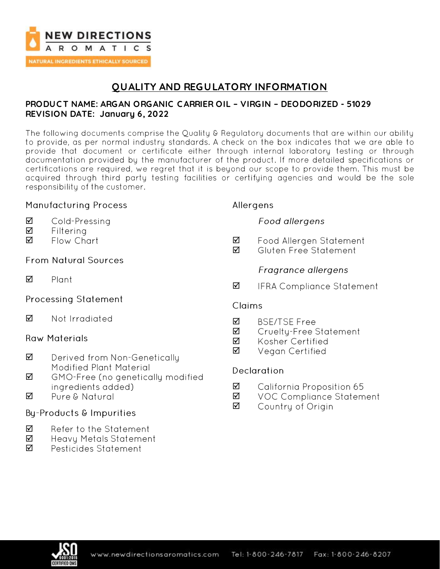

## **QUALITY AND REGULATORY INFORMATION**

#### **PRODUC T NAME: ARGAN ORGANIC C ARRIER OIL – VIRGIN – DEODORIZED - 51029 REVISION DATE: January 6, 2022**

The following documents comprise the Quality & Regulatory documents that are within our ability to provide, as per normal industry standards. A check on the box indicates that we are able to provide that document or certificate either through internal laboratory testing or through documentation provided by the manufacturer of the product. If more detailed specifications or certifications are required, we regret that it is beyond our scope to provide them. This must be acquired through third party testing facilities or certifying agencies and would be the sole responsibility of the customer.

#### **Manufacturing Process**

- ☑ Cold-Pressing
- ☑ Filterina
- Flow Chart ☑

### **From Natural Sources**

☑ Plant

### **Processing Statement**

#### $\triangledown$ Not Irradiated

#### **Raw Materials**

- Derived from Non-Genetically ☑ **Modified Plant Material**
- ☑ GMO-Free (no genetically modified ingredients added)
- $\triangledown$ Pure & Natural

### By-Products & Impurities

- ☑ Refer to the Statement
- ☑ **Heavy Metals Statement**
- ☑ Pesticides Statement

#### Allergens

### Food allergens

- ☑ Food Allergen Statement
- Gluten Free Statement ☑

### Fragrance allergens

☑ **IFRA Compliance Statement** 

#### **Claims**

- ☑ **BSE/TSE Free**
- ☑ Cruelty-Free Statement
- Kosher Certified ☑
- ☑ Vegan Certified

### Declaration

- ☑ California Proposition 65
- ☑ **VOC Compliance Statement**
- ☑ Country of Origin

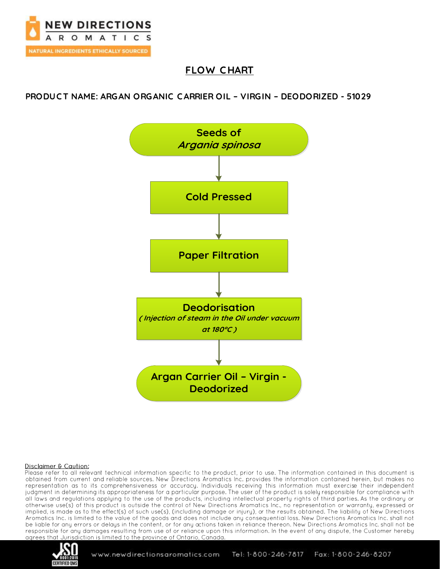

## **FLOW C HART**

**PRODUC T NAME: ARGAN ORGANIC C ARRIER OIL – VIRGIN – DEODORIZED - 51029**



#### Disclaimer & Caution:

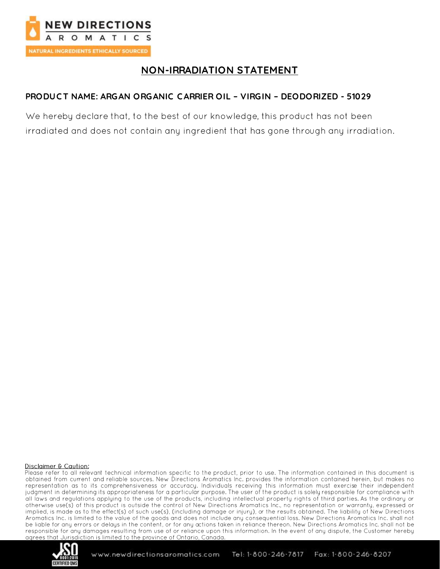

## **NON-IRRADIATION STATEMENT**

### PRODUCT NAME: ARGAN ORGANIC CARRIER OIL - VIRGIN - DEODORIZED - 51029

We hereby declare that, to the best of our knowledge, this product has not been irradiated and does not contain any ingredient that has gone through any irradiation.

#### Disclaimer & Caution:

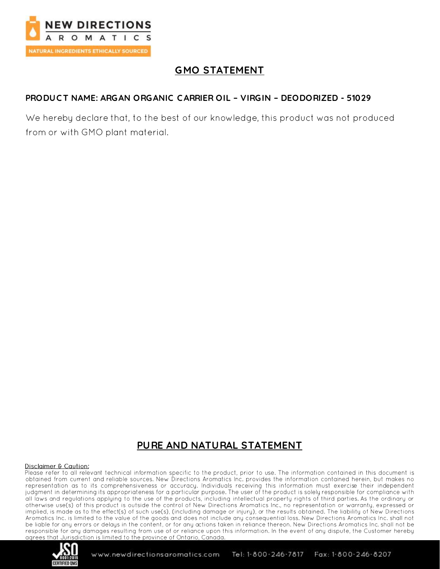

# **GMO STATEMENT**

### PRODUCT NAME: ARGAN ORGANIC CARRIER OIL - VIRGIN - DEODORIZED - 51029

We hereby declare that, to the best of our knowledge, this product was not produced from or with GMO plant material.

## PURE AND NATURAL STATEMENT

#### Disclaimer & Caution:

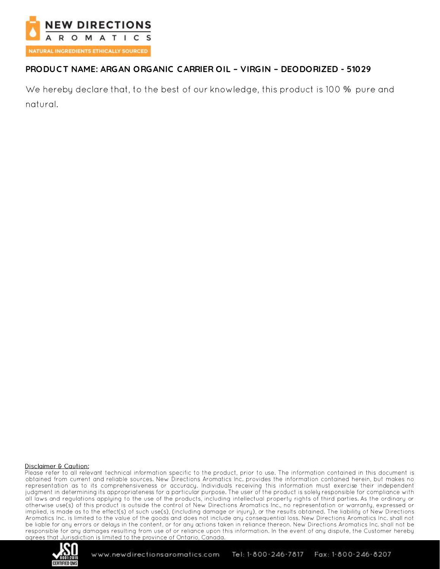

## PRODUCT NAME: ARGAN ORGANIC CARRIER OIL - VIRGIN - DEODORIZED - 51029

We hereby declare that, to the best of our knowledge, this product is 100 % pure and natural.

#### Disclaimer & Caution:

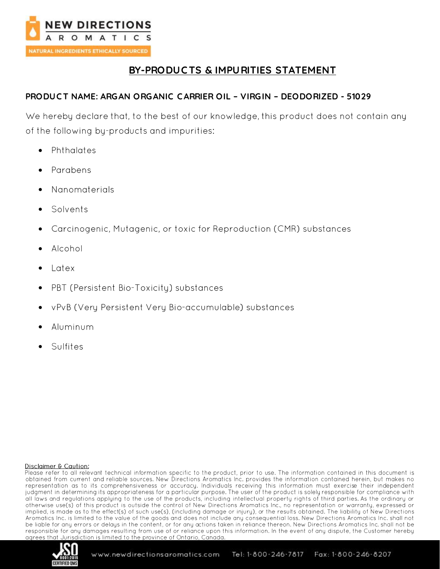

## **BY-PRODUC TS & IMPURITIES STATEMENT**

### **PRODUC T NAME: ARGAN ORGANIC C ARRIER OIL – VIRGIN – DEODORIZED - 51029**

We hereby declare that, to the best of our knowledge, this product does not contain any of the following by-products and impurities:

- Phthalates •
- Parabens
- Nanomaterials
- Solvents
- Carcinogenic, Mutagenic, or toxic for Reproduction (CMR) substances
- Alcohol
- l atex
- PBT (Persistent Bio-Toxicity) substances
- vPvB (Very Persistent Very Bio-accumulable) substances
- Aluminum
- •Sulfites

#### Disclaimer & Caution:

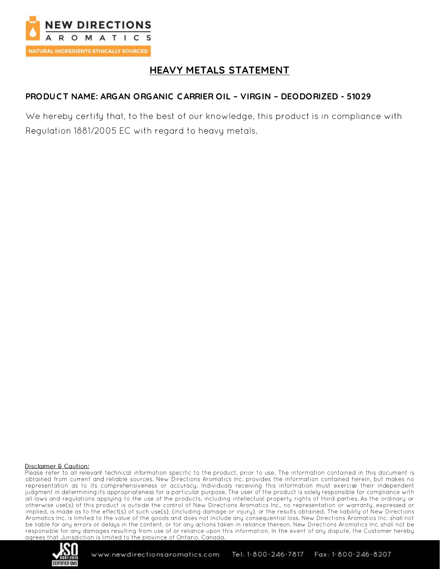

## **HEAVY METALS STATEMENT**

### PRODUCT NAME: ARGAN ORGANIC CARRIER OIL - VIRGIN - DEODORIZED - 51029

We hereby certify that, to the best of our knowledge, this product is in compliance with Reaulation 1881/2005 EC with regard to heavy metals.

#### Disclaimer & Caution:

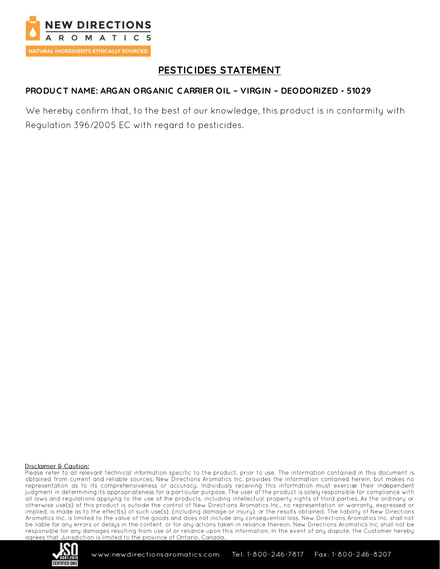

## PESTICIDES STATEMENT

### PRODUCT NAME: ARGAN ORGANIC CARRIER OIL - VIRGIN - DEODORIZED - 51029

We hereby confirm that, to the best of our knowledge, this product is in conformity with Regulation 396/2005 EC with regard to pesticides.

#### Disclaimer & Caution:

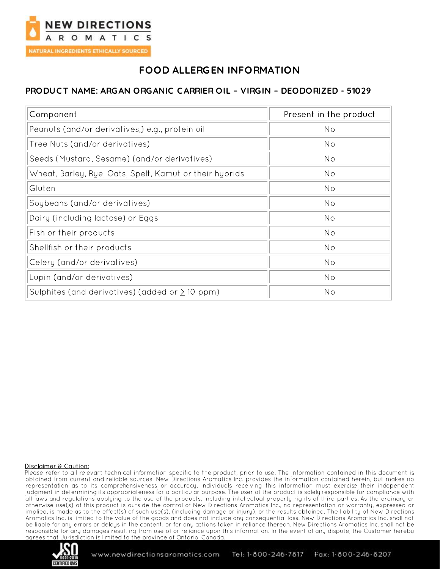

## **FOOD ALLERGEN INFORMATION**

### PRODUCT NAME: ARGAN ORGANIC CARRIER OIL - VIRGIN - DEODORIZED - 51029

| Component                                               | Present in the product |
|---------------------------------------------------------|------------------------|
| Peanuts (and/or derivatives,) e.g., protein oil         | No                     |
| Tree Nuts (and/or derivatives)                          | No                     |
| Seeds (Mustard, Sesame) (and/or derivatives)            | No                     |
| Wheat, Barley, Rye, Oats, Spelt, Kamut or their hybrids | No                     |
| Gluten                                                  | No                     |
| Soybeans (and/or derivatives)                           | No                     |
| Dairy (including lactose) or Eggs                       | N <sub>o</sub>         |
| Fish or their products                                  | No                     |
| Shellfish or their products                             | No                     |
| Celery (and/or derivatives)                             | No                     |
| Lupin (and/or derivatives)                              | No                     |
| Sulphites (and derivatives) (added or $\geq$ 10 ppm)    | No                     |

#### Disclaimer & Caution:

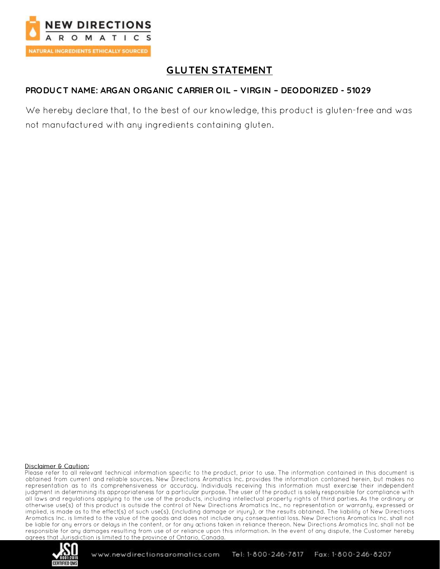

# **GLUTEN STATEMENT**

### PRODUCT NAME: ARGAN ORGANIC CARRIER OIL - VIRGIN - DEODORIZED - 51029

We hereby declare that, to the best of our knowledge, this product is gluten-free and was not manufactured with any ingredients containing gluten.

#### Disclaimer & Caution:

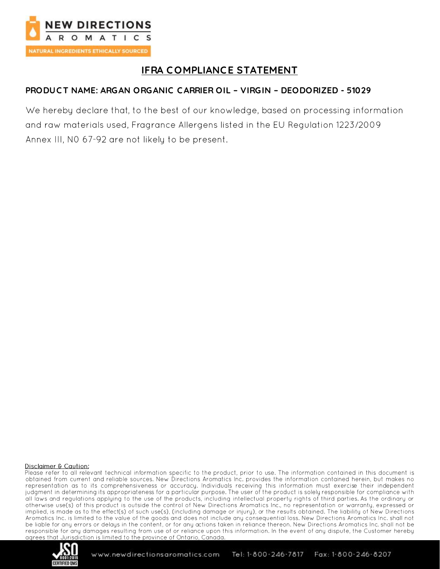

# **IFRA COMPLIANCE STATEMENT**

### PRODUCT NAME: ARGAN ORGANIC CARRIER OIL - VIRGIN - DEODORIZED - 51029

We hereby declare that, to the best of our knowledge, based on processing information and raw materials used, Fragrance Allergens listed in the EU Regulation 1223/2009 Annex III, NO 67-92 are not likely to be present.

#### Disclaimer & Caution:

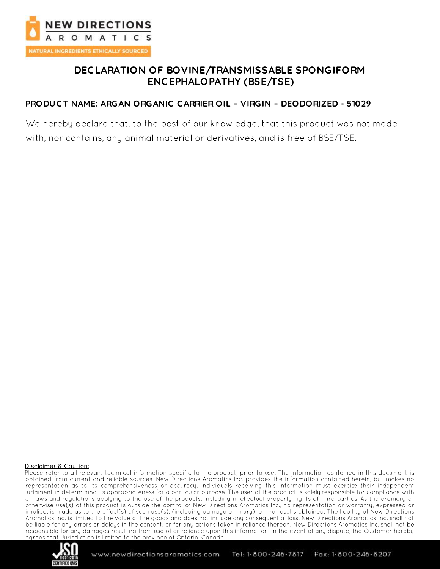

## DECLARATION OF BOVINE/TRANSMISSABLE SPONGIFORM ENCEPHALOPATHY (BSE/TSE)

#### PRODUCT NAME: ARGAN ORGANIC CARRIER OIL - VIRGIN - DEODORIZED - 51029

We hereby declare that, to the best of our knowledge, that this product was not made with, nor contains, any animal material or derivatives, and is free of BSE/TSE.

#### Disclaimer & Caution:

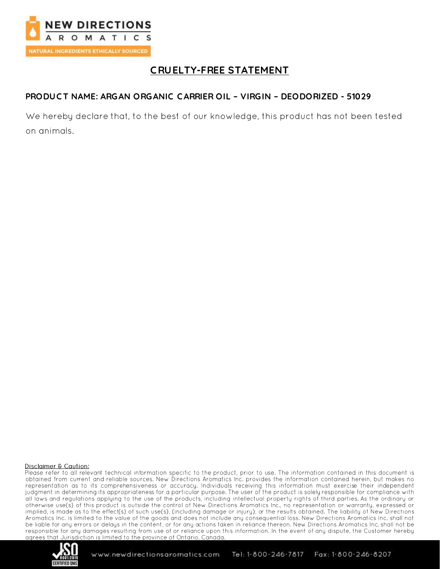

## **CRUELTY-FREE STATEMENT**

## PRODUCT NAME: ARGAN ORGANIC CARRIER OIL - VIRGIN - DEODORIZED - 51029

We hereby declare that, to the best of our knowledge, this product has not been tested on animals.

#### Disclaimer & Caution:

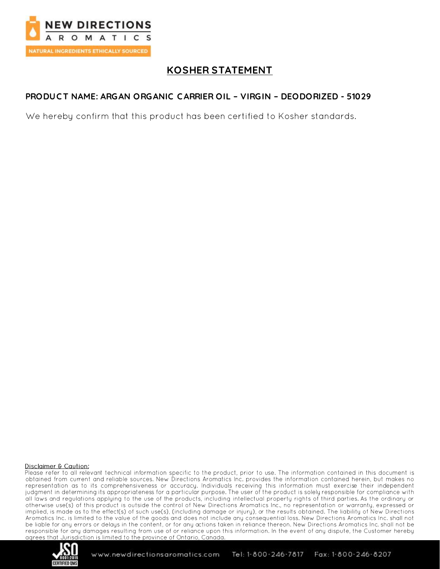

## **KOSHER STATEMENT**

### PRODUCT NAME: ARGAN ORGANIC CARRIER OIL - VIRGIN - DEODORIZED - 51029

We hereby confirm that this product has been certified to Kosher standards.

#### Disclaimer & Caution:

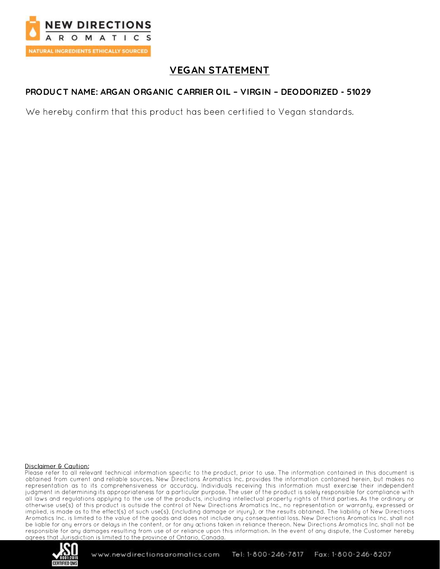

## **VEGAN STATEMENT**

### PRODUCT NAME: ARGAN ORGANIC CARRIER OIL - VIRGIN - DEODORIZED - 51029

We hereby confirm that this product has been certified to Vegan standards.

#### Disclaimer & Caution:

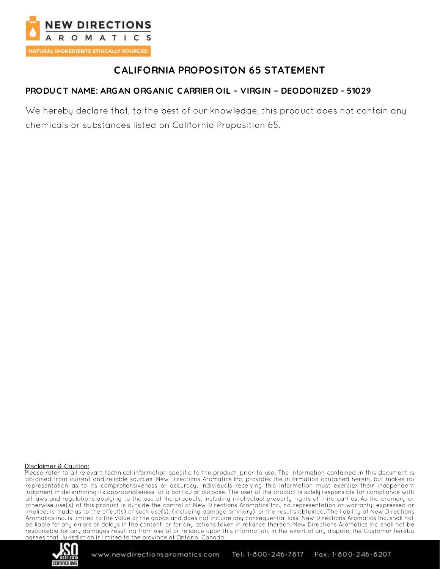

## **CALIFORNIA PROPOSITON 65 STATEMENT**

### PRODUCT NAME: ARGAN ORGANIC CARRIER OIL - VIRGIN - DEODORIZED - 51029

We hereby declare that, to the best of our knowledge, this product does not contain any chemicals or substances listed on California Proposition 65.

#### Disclaimer & Caution:

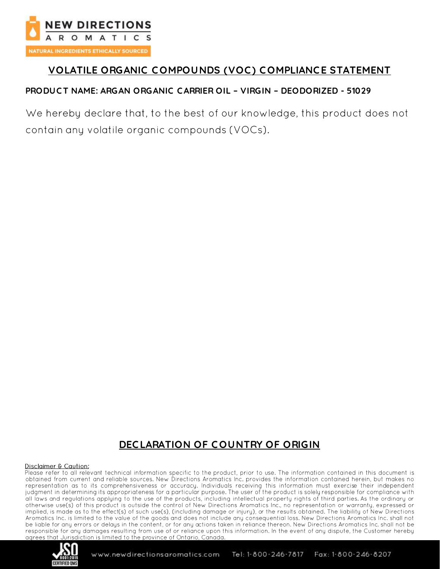

## VOLATILE ORGANIC COMPOUNDS (VOC) COMPLIANCE STATEMENT

### PRODUCT NAME: ARGAN ORGANIC CARRIER OIL - VIRGIN - DEODORIZED - 51029

We hereby declare that, to the best of our knowledge, this product does not contain any volatile organic compounds (VOCs).

## **DECLARATION OF COUNTRY OF ORIGIN**

#### Disclaimer & Caution: